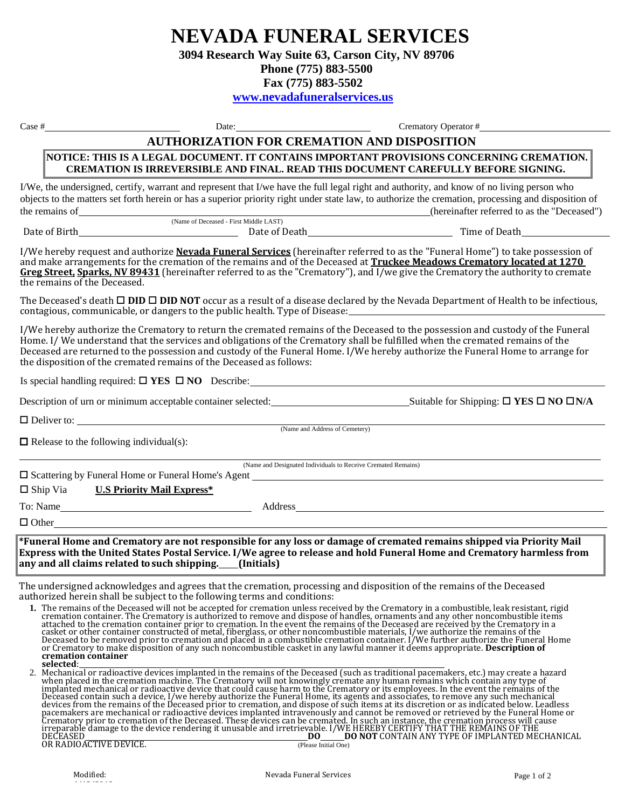**NEVADA FUNERAL SERVICES**

**3094 Research Way Suite 63, Carson City, NV 89706**

**Phone (775) 883-5500**

**Fax (775) 883-5502**

**[www.nevadafuneralservices.us](http://www.nevadafuneralservices.us/)**

Case # Date: Crematory Operator #

**AUTHORIZATION FOR CREMATION AND DISPOSITION**

**NOTICE: THIS IS A LEGAL DOCUMENT. IT CONTAINS IMPORTANT PROVISIONS CONCERNING CREMATION. CREMATION IS IRREVERSIBLE AND FINAL. READ THIS DOCUMENT CAREFULLY BEFORE SIGNING.**

I/We, the undersigned, certify, warrant and represent that I/we have the full legal right and authority, and know of no living person who objects to the matters set forth herein or has a superior priority right under state law, to authorize the cremation, processing and disposition of the remains of (hereinafter referred to as the "Deceased")

| Date of Birth | Date of Death | Time of Death |
|---------------|---------------|---------------|

I/We hereby request and authorize **Nevada Funeral Services** (hereinafter referred to as the "Funeral Home") to take possession of and make arrangements for the cremation of the remains and of the Deceased at **Truckee Meadows Crematory located at 1270 Greg Street, Sparks, NV 89431** (hereinafter referred to as the "Crematory"), and I/we give the Crematory the authority to cremate the remains of the Deceased.

The Deceased's death  $\Box$  **DID**  $\Box$  **DID NOT** occur as a result of a disease declared by the Nevada Department of Health to be infectious, contagious, communicable, or dangers to the public health. Type of Disease:

I/We hereby authorize the Crematory to return the cremated remains of the Deceased to the possession and custody of the Funeral Home. I/ We understand that the services and obligations of the Crematory shall be fulfilled when the cremated remains of the Deceased are returned to the possession and custody of the Funeral Home. I/We hereby authorize the Funeral Home to arrange for the disposition of the cremated remains of the Deceased as follows:

Is special handling required:  $\Box$  **YES**  $\Box$  **NO** Describe:

Description of urn or minimum acceptable container selected: Suitable for Shipping: **□ YES □ NO □N/A** 

□ Deliver to:

(Name and Address of Cemetery)

 $\Box$  Release to the following individual(s):

(Name and Designated Individuals to Receive Cremated Remains)

 $\square$  Scattering by Funeral Home or Funeral Home's Agent

Ship Via **U.S Priority Mail Express\***

To: Name Address

 $\Box$  Other

**\*Funeral Home and Crematory are not responsible for any loss or damage of cremated remains shipped via Priority Mail Express with the United States Postal Service. I/We agree to release and hold Funeral Home and Crematory harmless from any and all claims related to such shipping. (Initials)**

The undersigned acknowledges and agrees that the cremation, processing and disposition of the remains of the Deceased authorized herein shall be subject to the following terms and conditions:

1. The remains of the Deceased will not be accepted for cremation unless received by the Crematory in a combustible, leak resistant, rigid cremation container. The Crematory is authorized to remove and dispose of handles, **cremation container selected**:

2. Mechanical or radioactive devices implanted in the remains of the Deceased (such as traditional pacemakers, etc.) may create a hazard when placed in the cremation machine. The Crematory will not knowingly cremate any human remains which contain any type of<br>implanted mechanical or radioactive device that could cause harm to the Crematory or its employees. devices from the remains of the Deceased prior to cremation, and dispose of such items at its discretion or as indicated below. Leadless<br>pacemakers are mechanical or radioactive devices implanted intravenously and cannot b

Modified: 6/12/2018